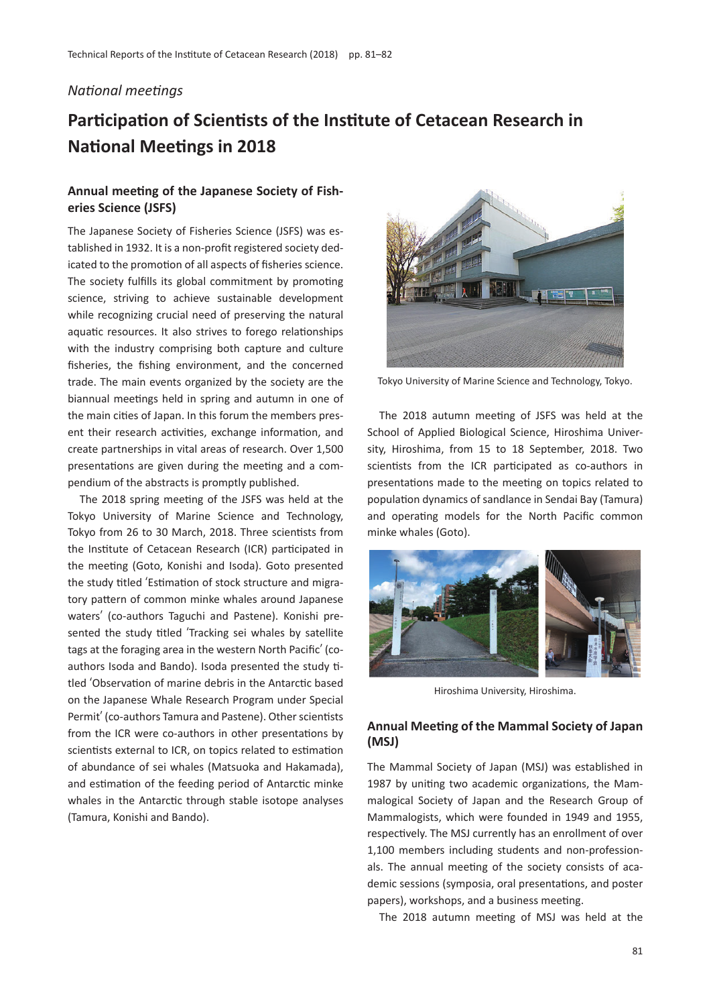## *National meetings*

## **Participation of Scientists of the Institute of Cetacean Research in National Meetings in 2018**

## **Annual meeting of the Japanese Society of Fisheries Science (JSFS)**

The Japanese Society of Fisheries Science (JSFS) was established in 1932. It is a non-profit registered society dedicated to the promotion of all aspects of fisheries science. The society fulfills its global commitment by promoting science, striving to achieve sustainable development while recognizing crucial need of preserving the natural aquatic resources. It also strives to forego relationships with the industry comprising both capture and culture fisheries, the fishing environment, and the concerned trade. The main events organized by the society are the biannual meetings held in spring and autumn in one of the main cities of Japan. In this forum the members present their research activities, exchange information, and create partnerships in vital areas of research. Over 1,500 presentations are given during the meeting and a compendium of the abstracts is promptly published.

The 2018 spring meeting of the JSFS was held at the Tokyo University of Marine Science and Technology, Tokyo from 26 to 30 March, 2018. Three scientists from the Institute of Cetacean Research (ICR) participated in the meeting (Goto, Konishi and Isoda). Goto presented the study titled ʻEstimation of stock structure and migratory pattern of common minke whales around Japanese waters' (co-authors Taguchi and Pastene). Konishi presented the study titled ʻTracking sei whales by satellite tags at the foraging area in the western North Pacific' (coauthors Isoda and Bando). Isoda presented the study titled ʻObservation of marine debris in the Antarctic based on the Japanese Whale Research Program under Special Permit' (co-authors Tamura and Pastene). Other scientists from the ICR were co-authors in other presentations by scientists external to ICR, on topics related to estimation of abundance of sei whales (Matsuoka and Hakamada), and estimation of the feeding period of Antarctic minke whales in the Antarctic through stable isotope analyses (Tamura, Konishi and Bando).



Tokyo University of Marine Science and Technology, Tokyo.

The 2018 autumn meeting of JSFS was held at the School of Applied Biological Science, Hiroshima University, Hiroshima, from 15 to 18 September, 2018. Two scientists from the ICR participated as co-authors in presentations made to the meeting on topics related to population dynamics of sandlance in Sendai Bay (Tamura) and operating models for the North Pacific common minke whales (Goto).



Hiroshima University, Hiroshima.

## **Annual Meeting of the Mammal Society of Japan (MSJ)**

The Mammal Society of Japan (MSJ) was established in 1987 by uniting two academic organizations, the Mammalogical Society of Japan and the Research Group of Mammalogists, which were founded in 1949 and 1955, respectively. The MSJ currently has an enrollment of over 1,100 members including students and non-professionals. The annual meeting of the society consists of academic sessions (symposia, oral presentations, and poster papers), workshops, and a business meeting.

The 2018 autumn meeting of MSJ was held at the